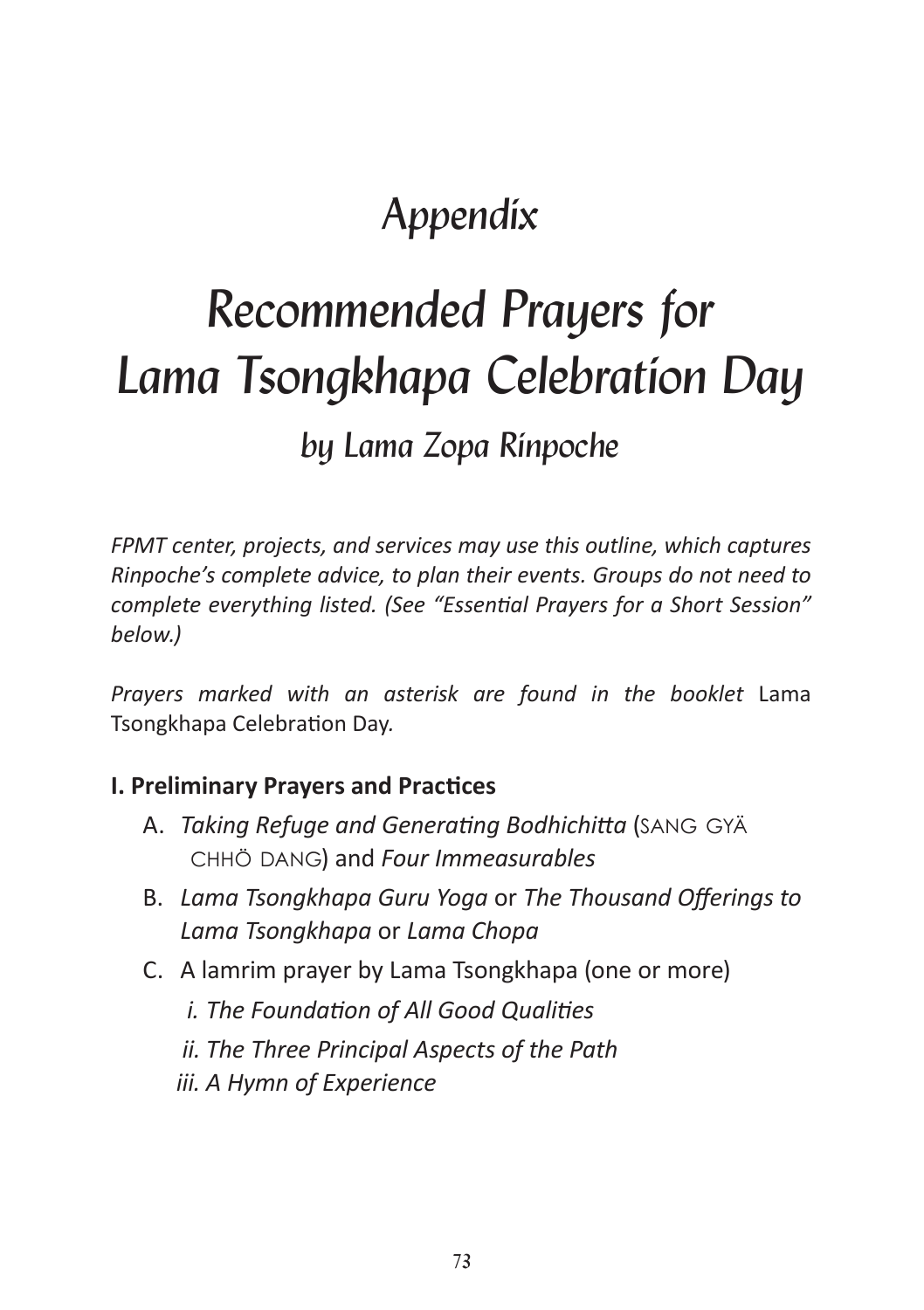## *Appendix*

# *Recommended Prayers for Lama Tsongkhapa Celebration Day by Lama Zopa Rinpoche*

*FPMT center, projects, and services may use this outline, which captures Rinpoche's complete advice, to plan their events. Groups do not need to complete everything listed. (See "Essential Prayers for a Short Session" below.)*

Prayers marked with an asterisk are found in the booklet Lama Tsongkhapa Celebration Day*.*

#### **I. Preliminary Prayers and Practices**

- A. *Taking Refuge and Generating Bodhichitta* (sang gyä chhö dang) and *Four Immeasurables*
- B. *Lama Tsongkhapa Guru Yoga* or *The Thousand Offerings to Lama Tsongkhapa* or *Lama Chopa*
- C. A lamrim prayer by Lama Tsongkhapa (one or more)
	- *i. The Foundation of All Good Qualities*
	- *ii. The Three Principal Aspects of the Path*
	- *iii. A Hymn of Experience*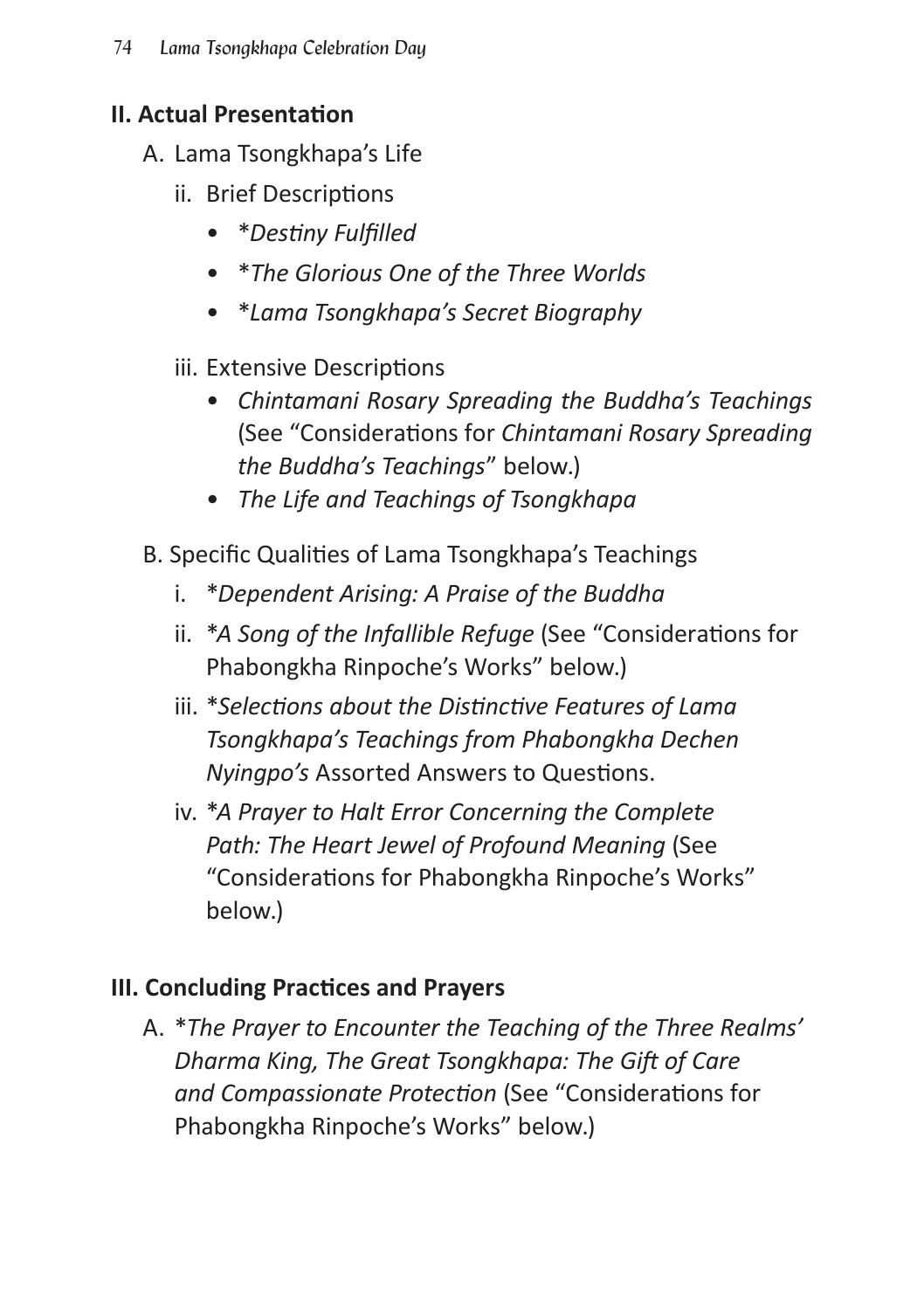#### **II. Actual Presentation**

- A. Lama Tsongkhapa's Life
	- ii. Brief Descriptions
		- \**Destiny Fulfilled*
		- \**The Glorious One of the Three Worlds*
		- \**Lama Tsongkhapa's Secret Biography*
	- iii. Extensive Descriptions
		- *Chintamani Rosary Spreading the Buddha's Teachings* (See "Considerations for *Chintamani Rosary Spreading the Buddha's Teachings*" below.)
		- *The Life and Teachings of Tsongkhapa*
- B. Specific Qualities of Lama Tsongkhapa's Teachings
	- i. \**Dependent Arising: A Praise of the Buddha*
	- ii. \**A Song of the Infallible Refuge* (See "Considerations for Phabongkha Rinpoche's Works" below.)
	- iii. \**Selections about the Distinctive Features of Lama Tsongkhapa's Teachings from Phabongkha Dechen Nyingpo's* Assorted Answers to Questions.
	- iv. \**A Prayer to Halt Error Concerning the Complete Path: The Heart Jewel of Profound Meaning* (See "Considerations for Phabongkha Rinpoche's Works" below.)

#### **III. Concluding Practices and Prayers**

A. \**The Prayer to Encounter the Teaching of the Three Realms' Dharma King, The Great Tsongkhapa: The Gift of Care and Compassionate Protection* (See "Considerations for Phabongkha Rinpoche's Works" below.)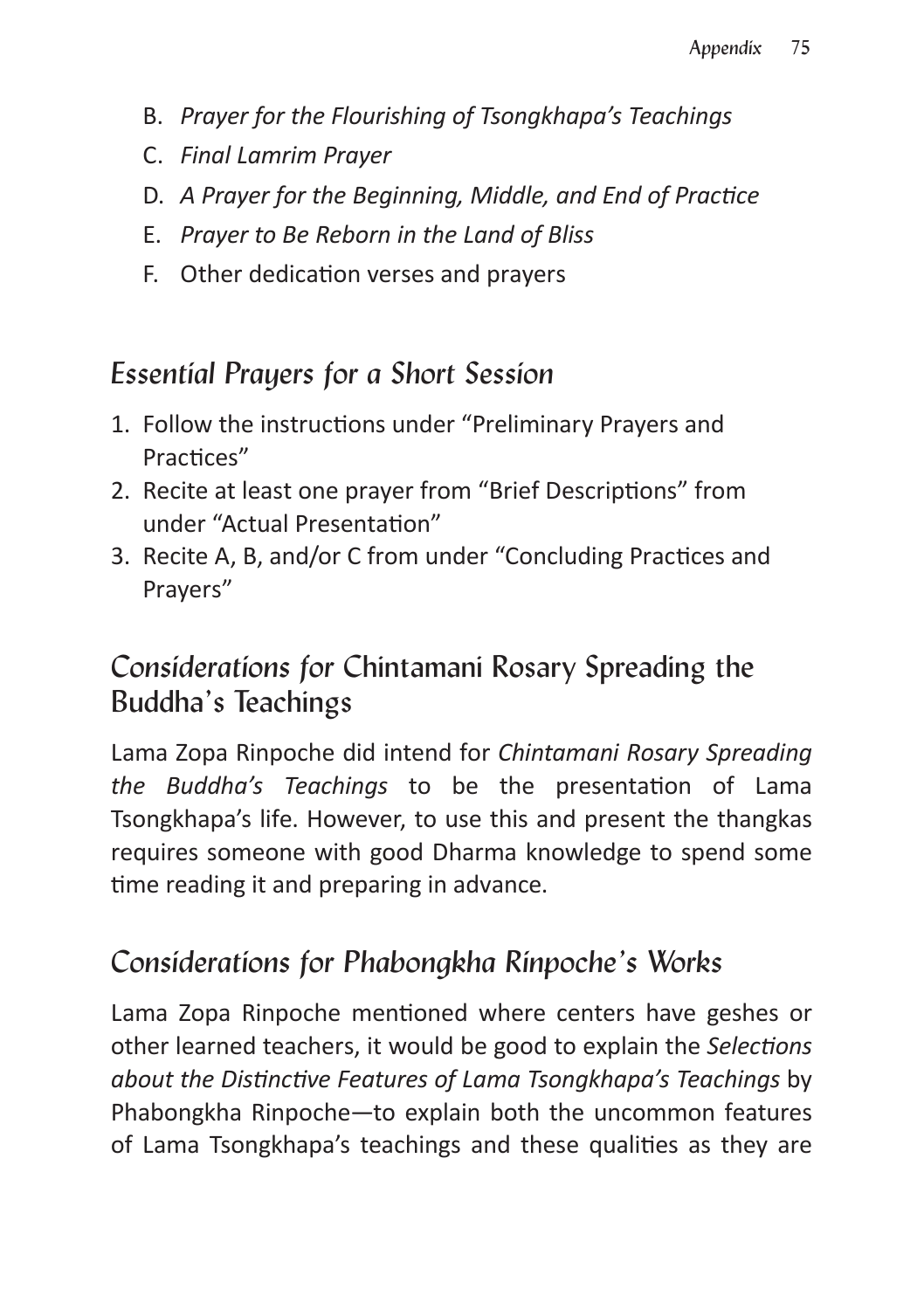- B. *Prayer for the Flourishing of Tsongkhapa's Teachings*
- C. *Final Lamrim Prayer*
- D. *A Prayer for the Beginning, Middle, and End of Practice*
- E. *Prayer to Be Reborn in the Land of Bliss*
- F. Other dedication verses and prayers

## *Essential Prayers for a Short Session*

- 1. Follow the instructions under "Preliminary Prayers and Practices"
- 2. Recite at least one prayer from "Brief Descriptions" from under "Actual Presentation"
- 3. Recite A, B, and/or C from under "Concluding Practices and Prayers"

## *Considerations for* Chintamani Rosary Spreading the Buddha's Teachings

Lama Zopa Rinpoche did intend for *Chintamani Rosary Spreading the Buddha's Teachings* to be the presentation of Lama Tsongkhapa's life. However, to use this and present the thangkas requires someone with good Dharma knowledge to spend some time reading it and preparing in advance.

## *Considerations for Phabongkha Rinpoche's Works*

Lama Zopa Rinpoche mentioned where centers have geshes or other learned teachers, it would be good to explain the *Selections about the Distinctive Features of Lama Tsongkhapa's Teachings* by Phabongkha Rinpoche—to explain both the uncommon features of Lama Tsongkhapa's teachings and these qualities as they are